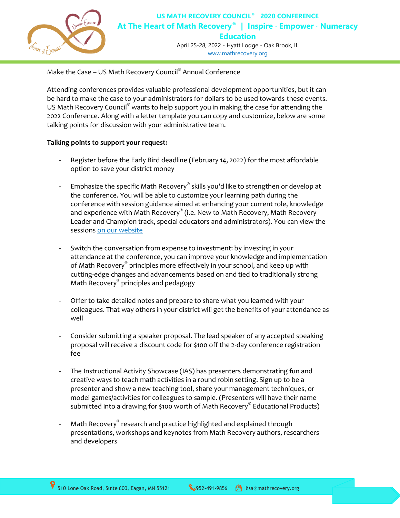

April 25-28, 2022 - Hyatt Lodge - Oak Brook, IL [www.mathrecovery.org](http://www.mathrecovery.org/2022-national-conference)

Make the Case - US Math Recovery Council<sup>®</sup> Annual Conference

Attending conferences provides valuable professional development opportunities, but it can be hard to make the case to your administrators for dollars to be used towards these events. US Math Recovery Council® wants to help support you in making the case for attending the 2022 Conference. Along with a letter template you can copy and customize, below are some talking points for discussion with your administrative team.

## **Talking points to support your request:**

- Register before the Early Bird deadline (February 14, 2022) for the most affordable option to save your district money
- Emphasize the specific Math Recovery® skills you'd like to strengthen or develop at the conference. You will be able to customize your learning path during the conference with session guidance aimed at enhancing your current role, knowledge and experience with Math Recovery $^\circ$  (i.e. New to Math Recovery, Math Recovery Leader and Champion track, special educators and administrators). You can view the sessions [on our website](https://www.mathrecovery.org/2022-national-conference)
- Switch the conversation from expense to investment: by investing in your attendance at the conference, you can improve your knowledge and implementation of Math Recovery® principles more effectively in your school, and keep up with cutting-edge changes and advancements based on and tied to traditionally strong Math Recovery® principles and pedagogy
- Offer to take detailed notes and prepare to share what you learned with your colleagues. That way others in your district will get the benefits of your attendance as well
- Consider submitting a speaker proposal. The lead speaker of any accepted speaking proposal will receive a discount code for \$100 off the 2-day conference registration fee
- The Instructional Activity Showcase (IAS) has presenters demonstrating fun and creative ways to teach math activities in a round robin setting. Sign up to be a presenter and show a new teaching tool, share your management techniques, or model games/activities for colleagues to sample. (Presenters will have their name submitted into a drawing for \$100 worth of Math Recovery $^\circ$  Educational Products)
- Math Recovery® research and practice highlighted and explained through presentations, workshops and keynotes from Math Recovery authors, researchers and developers